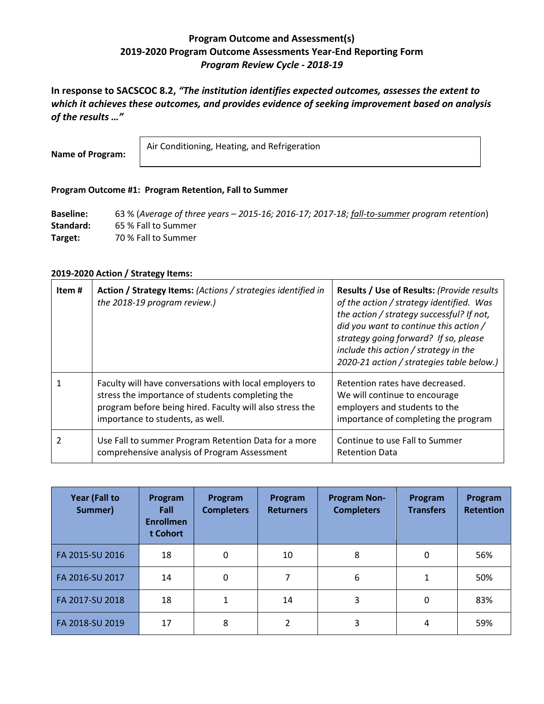# **Program Outcome and Assessment(s) 2019-2020 Program Outcome Assessments Year-End Reporting Form** *Program Review Cycle - 2018-19*

**In response to SACSCOC 8.2,** *"The institution identifies expected outcomes, assesses the extent to which it achieves these outcomes, and provides evidence of seeking improvement based on analysis of the results …"*

**Name of Program:**

Air Conditioning, Heating, and Refrigeration

## **Program Outcome #1: Program Retention, Fall to Summer**

**Baseline:** 63 % (*Average of three years – 2015-16; 2016-17; 2017-18; fall-to-summer program retention*) **Standard:** 65 % Fall to Summer **Target:** 70 % Fall to Summer

| Item# | Action / Strategy Items: (Actions / strategies identified in<br>the 2018-19 program review.)                                                                                                                | Results / Use of Results: (Provide results<br>of the action / strategy identified. Was<br>the action / strategy successful? If not,<br>did you want to continue this action /<br>strategy going forward? If so, please<br>include this action / strategy in the<br>2020-21 action / strategies table below.) |
|-------|-------------------------------------------------------------------------------------------------------------------------------------------------------------------------------------------------------------|--------------------------------------------------------------------------------------------------------------------------------------------------------------------------------------------------------------------------------------------------------------------------------------------------------------|
|       | Faculty will have conversations with local employers to<br>stress the importance of students completing the<br>program before being hired. Faculty will also stress the<br>importance to students, as well. | Retention rates have decreased.<br>We will continue to encourage<br>employers and students to the<br>importance of completing the program                                                                                                                                                                    |
|       | Use Fall to summer Program Retention Data for a more<br>comprehensive analysis of Program Assessment                                                                                                        | Continue to use Fall to Summer<br><b>Retention Data</b>                                                                                                                                                                                                                                                      |

| <b>Year (Fall to</b><br>Summer) | Program<br><b>Fall</b><br><b>Enrollmen</b><br>t Cohort | Program<br><b>Completers</b> | Program<br><b>Returners</b> | <b>Program Non-</b><br><b>Completers</b> | Program<br><b>Transfers</b> | Program<br><b>Retention</b> |
|---------------------------------|--------------------------------------------------------|------------------------------|-----------------------------|------------------------------------------|-----------------------------|-----------------------------|
| FA 2015-SU 2016                 | 18                                                     | 0                            | 10                          | 8                                        | 0                           | 56%                         |
| FA 2016-SU 2017                 | 14                                                     | 0                            | 7                           | 6                                        |                             | 50%                         |
| FA 2017-SU 2018                 | 18                                                     | 1                            | 14                          | 3                                        | 0                           | 83%                         |
| FA 2018-SU 2019                 | 17                                                     | 8                            | 2                           | 3                                        | 4                           | 59%                         |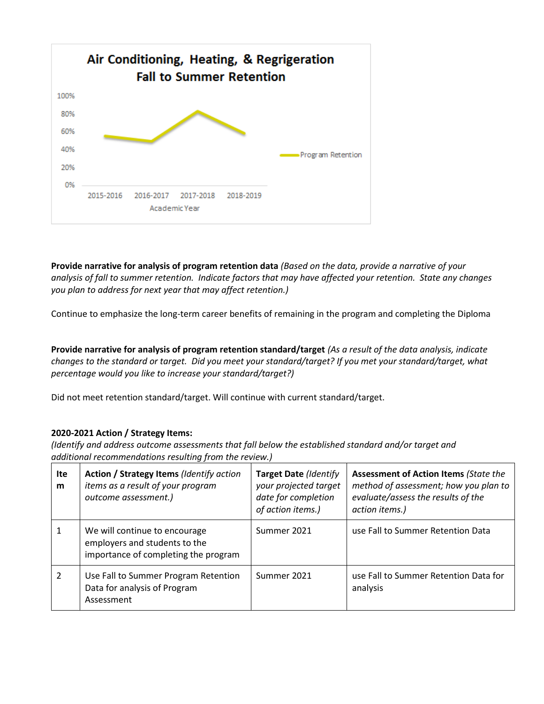

**Provide narrative for analysis of program retention data** *(Based on the data, provide a narrative of your analysis of fall to summer retention. Indicate factors that may have affected your retention. State any changes you plan to address for next year that may affect retention.)*

Continue to emphasize the long-term career benefits of remaining in the program and completing the Diploma

**Provide narrative for analysis of program retention standard/target** *(As a result of the data analysis, indicate changes to the standard or target. Did you meet your standard/target? If you met your standard/target, what percentage would you like to increase your standard/target?)* 

Did not meet retention standard/target. Will continue with current standard/target.

# **2020-2021 Action / Strategy Items:**

*(Identify and address outcome assessments that fall below the established standard and/or target and additional recommendations resulting from the review.)*

| Ite<br>m | Action / Strategy Items (Identify action<br>items as a result of your program<br>outcome assessment.)  | <b>Target Date (Identify</b><br>your projected target<br>date for completion<br>of action items.) | <b>Assessment of Action Items (State the</b><br>method of assessment; how you plan to<br>evaluate/assess the results of the<br>action items.) |
|----------|--------------------------------------------------------------------------------------------------------|---------------------------------------------------------------------------------------------------|-----------------------------------------------------------------------------------------------------------------------------------------------|
|          | We will continue to encourage<br>employers and students to the<br>importance of completing the program | Summer 2021                                                                                       | use Fall to Summer Retention Data                                                                                                             |
| 2        | Use Fall to Summer Program Retention<br>Data for analysis of Program<br>Assessment                     | Summer 2021                                                                                       | use Fall to Summer Retention Data for<br>analysis                                                                                             |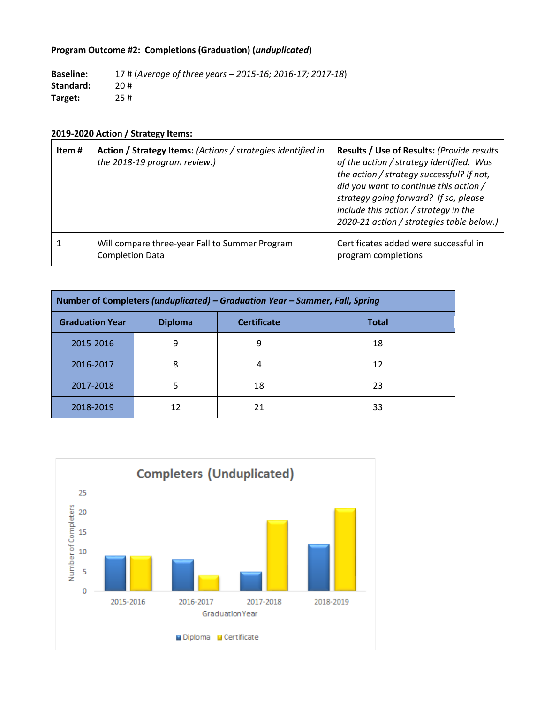# **Program Outcome #2: Completions (Graduation) (***unduplicated***)**

**Baseline:** 17 # (*Average of three years – 2015-16; 2016-17; 2017-18*) **Standard:** 20 # **Target:** 25 #

| Item # | Action / Strategy Items: (Actions / strategies identified in<br>the 2018-19 program review.) | Results / Use of Results: (Provide results<br>of the action / strategy identified. Was<br>the action / strategy successful? If not,<br>did you want to continue this action /<br>strategy going forward? If so, please<br>include this action / strategy in the<br>2020-21 action / strategies table below.) |
|--------|----------------------------------------------------------------------------------------------|--------------------------------------------------------------------------------------------------------------------------------------------------------------------------------------------------------------------------------------------------------------------------------------------------------------|
|        | Will compare three-year Fall to Summer Program<br><b>Completion Data</b>                     | Certificates added were successful in<br>program completions                                                                                                                                                                                                                                                 |

| Number of Completers (unduplicated) - Graduation Year - Summer, Fall, Spring   |   |    |    |  |  |  |
|--------------------------------------------------------------------------------|---|----|----|--|--|--|
| <b>Graduation Year</b><br><b>Certificate</b><br><b>Diploma</b><br><b>Total</b> |   |    |    |  |  |  |
| 2015-2016                                                                      | q | 9  | 18 |  |  |  |
| 2016-2017                                                                      | 8 | 4  | 12 |  |  |  |
| 2017-2018                                                                      |   | 18 | 23 |  |  |  |
| 2018-2019                                                                      |   | 21 | 33 |  |  |  |

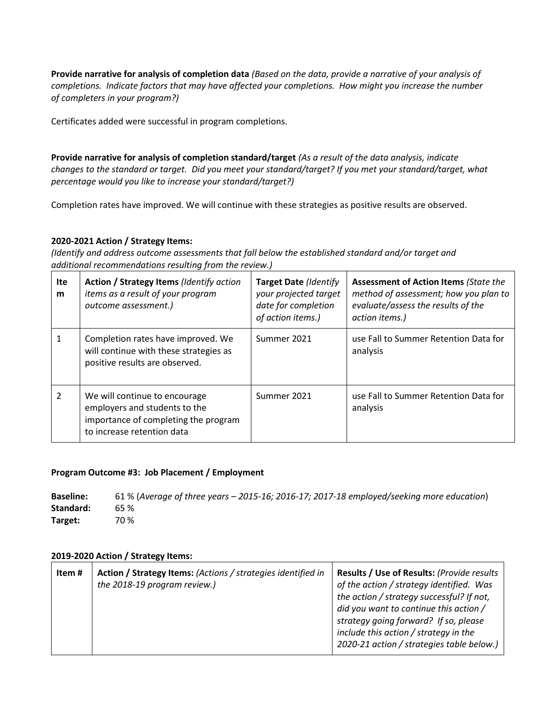**Provide narrative for analysis of completion data** *(Based on the data, provide a narrative of your analysis of completions. Indicate factors that may have affected your completions. How might you increase the number of completers in your program?)*

Certificates added were successful in program completions.

**Provide narrative for analysis of completion standard/target** *(As a result of the data analysis, indicate changes to the standard or target. Did you meet your standard/target? If you met your standard/target, what percentage would you like to increase your standard/target?)* 

Completion rates have improved. We will continue with these strategies as positive results are observed.

# **2020-2021 Action / Strategy Items:**

*(Identify and address outcome assessments that fall below the established standard and/or target and additional recommendations resulting from the review.)*

| Ite<br>m       | Action / Strategy Items (Identify action<br>items as a result of your program<br>outcome assessment.)                                | <b>Target Date (Identify</b><br>your projected target<br>date for completion<br>of action items.) | <b>Assessment of Action Items (State the</b><br>method of assessment; how you plan to<br>evaluate/assess the results of the<br>action items.) |
|----------------|--------------------------------------------------------------------------------------------------------------------------------------|---------------------------------------------------------------------------------------------------|-----------------------------------------------------------------------------------------------------------------------------------------------|
|                | Completion rates have improved. We<br>will continue with these strategies as<br>positive results are observed.                       | Summer 2021                                                                                       | use Fall to Summer Retention Data for<br>analysis                                                                                             |
| $\overline{2}$ | We will continue to encourage<br>employers and students to the<br>importance of completing the program<br>to increase retention data | Summer 2021                                                                                       | use Fall to Summer Retention Data for<br>analysis                                                                                             |

# **Program Outcome #3: Job Placement / Employment**

**Baseline:** 61 % (*Average of three years – 2015-16; 2016-17; 2017-18 employed/seeking more education*) **Standard:** 65 % **Target:** 70 %

| Item # | Action / Strategy Items: (Actions / strategies identified in<br>the 2018-19 program review.) | Results / Use of Results: (Provide results<br>of the action / strategy identified. Was<br>the action / strategy successful? If not,<br>did you want to continue this action /<br>strategy going forward? If so, please<br>include this action / strategy in the<br>2020-21 action / strategies table below.) |
|--------|----------------------------------------------------------------------------------------------|--------------------------------------------------------------------------------------------------------------------------------------------------------------------------------------------------------------------------------------------------------------------------------------------------------------|
|--------|----------------------------------------------------------------------------------------------|--------------------------------------------------------------------------------------------------------------------------------------------------------------------------------------------------------------------------------------------------------------------------------------------------------------|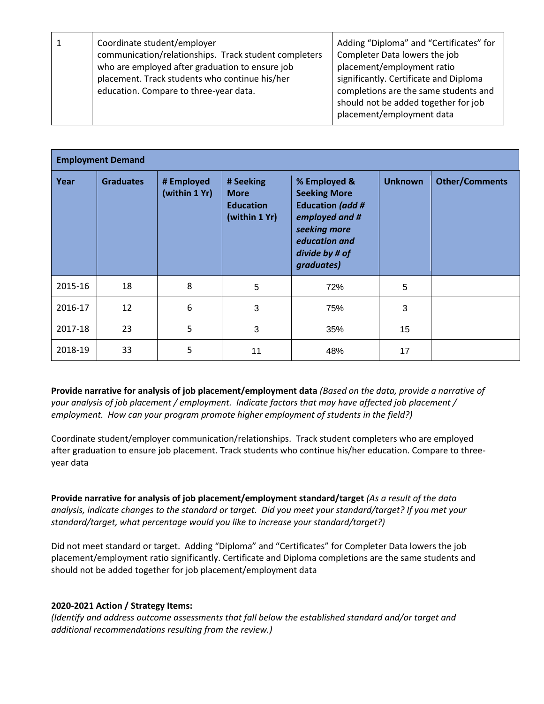|  | Coordinate student/employer<br>communication/relationships. Track student completers<br>who are employed after graduation to ensure job<br>placement. Track students who continue his/her<br>education. Compare to three-year data. | Adding "Diploma" and "Certificates" for<br>Completer Data lowers the job<br>placement/employment ratio<br>significantly. Certificate and Diploma<br>completions are the same students and<br>should not be added together for job<br>placement/employment data |
|--|-------------------------------------------------------------------------------------------------------------------------------------------------------------------------------------------------------------------------------------|----------------------------------------------------------------------------------------------------------------------------------------------------------------------------------------------------------------------------------------------------------------|
|--|-------------------------------------------------------------------------------------------------------------------------------------------------------------------------------------------------------------------------------------|----------------------------------------------------------------------------------------------------------------------------------------------------------------------------------------------------------------------------------------------------------------|

| <b>Employment Demand</b> |                  |                             |                                                               |                                                                                                                                                   |                |                       |  |
|--------------------------|------------------|-----------------------------|---------------------------------------------------------------|---------------------------------------------------------------------------------------------------------------------------------------------------|----------------|-----------------------|--|
| Year                     | <b>Graduates</b> | # Employed<br>(within 1 Yr) | # Seeking<br><b>More</b><br><b>Education</b><br>(within 1 Yr) | % Employed &<br><b>Seeking More</b><br><b>Education (add #</b><br>employed and #<br>seeking more<br>education and<br>divide by # of<br>graduates) | <b>Unknown</b> | <b>Other/Comments</b> |  |
| 2015-16                  | 18               | 8                           | 5                                                             | 72%                                                                                                                                               | 5              |                       |  |
| 2016-17                  | 12               | 6                           | 3                                                             | 75%                                                                                                                                               | 3              |                       |  |
| 2017-18                  | 23               | 5                           | 3                                                             | 35%                                                                                                                                               | 15             |                       |  |
| 2018-19                  | 33               | 5                           | 11                                                            | 48%                                                                                                                                               | 17             |                       |  |

**Provide narrative for analysis of job placement/employment data** *(Based on the data, provide a narrative of your analysis of job placement / employment. Indicate factors that may have affected job placement / employment. How can your program promote higher employment of students in the field?)*

Coordinate student/employer communication/relationships. Track student completers who are employed after graduation to ensure job placement. Track students who continue his/her education. Compare to threeyear data

**Provide narrative for analysis of job placement/employment standard/target** *(As a result of the data analysis, indicate changes to the standard or target. Did you meet your standard/target? If you met your standard/target, what percentage would you like to increase your standard/target?)* 

Did not meet standard or target. Adding "Diploma" and "Certificates" for Completer Data lowers the job placement/employment ratio significantly. Certificate and Diploma completions are the same students and should not be added together for job placement/employment data

## **2020-2021 Action / Strategy Items:**

*(Identify and address outcome assessments that fall below the established standard and/or target and additional recommendations resulting from the review.)*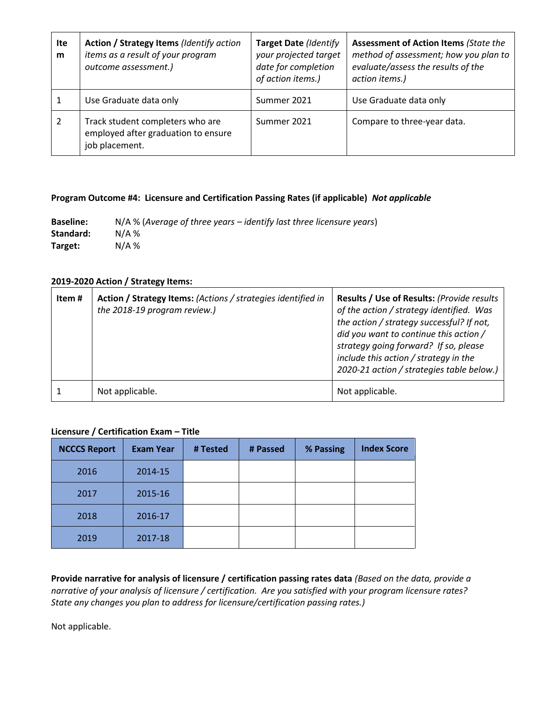| Ite<br>m | Action / Strategy Items (Identify action<br>items as a result of your program<br>outcome assessment.) | <b>Target Date (Identify</b><br>your projected target<br>date for completion<br>of action items.) | <b>Assessment of Action Items (State the</b><br>method of assessment; how you plan to<br>evaluate/assess the results of the<br>action items.) |
|----------|-------------------------------------------------------------------------------------------------------|---------------------------------------------------------------------------------------------------|-----------------------------------------------------------------------------------------------------------------------------------------------|
|          | Use Graduate data only                                                                                | Summer 2021                                                                                       | Use Graduate data only                                                                                                                        |
|          | Track student completers who are<br>employed after graduation to ensure<br>job placement.             | Summer 2021                                                                                       | Compare to three-year data.                                                                                                                   |

## **Program Outcome #4: Licensure and Certification Passing Rates (if applicable)** *Not applicable*

**Baseline:** N/A % (*Average of three years – identify last three licensure years*) **Standard:** N/A % **Target:** N/A %

#### **2019-2020 Action / Strategy Items:**

| Item # | Action / Strategy Items: (Actions / strategies identified in<br>the 2018-19 program review.) | Results / Use of Results: (Provide results<br>of the action / strategy identified. Was<br>the action / strategy successful? If not,<br>did you want to continue this action /<br>strategy going forward? If so, please<br>include this action / strategy in the<br>2020-21 action / strategies table below.) |
|--------|----------------------------------------------------------------------------------------------|--------------------------------------------------------------------------------------------------------------------------------------------------------------------------------------------------------------------------------------------------------------------------------------------------------------|
|        | Not applicable.                                                                              | Not applicable.                                                                                                                                                                                                                                                                                              |

#### **Licensure / Certification Exam – Title**

| <b>NCCCS Report</b> | <b>Exam Year</b> | # Tested | # Passed | % Passing | <b>Index Score</b> |
|---------------------|------------------|----------|----------|-----------|--------------------|
| 2016                | 2014-15          |          |          |           |                    |
| 2017                | 2015-16          |          |          |           |                    |
| 2018                | 2016-17          |          |          |           |                    |
| 2019                | 2017-18          |          |          |           |                    |

**Provide narrative for analysis of licensure / certification passing rates data** *(Based on the data, provide a narrative of your analysis of licensure / certification. Are you satisfied with your program licensure rates? State any changes you plan to address for licensure/certification passing rates.)*

Not applicable.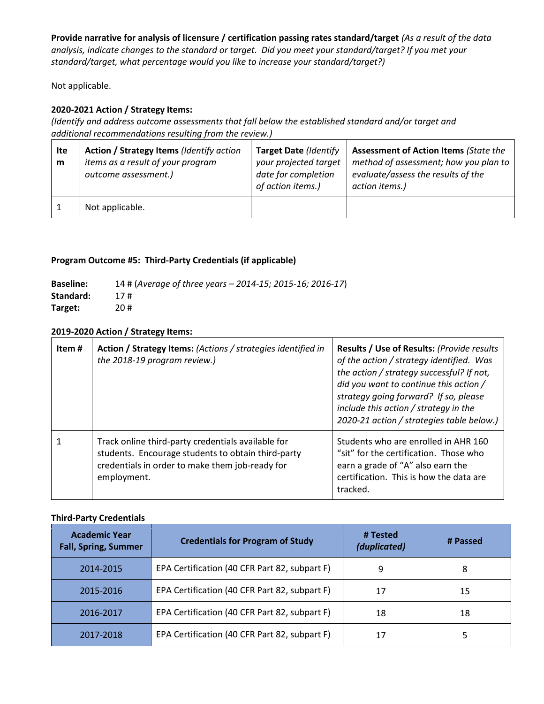**Provide narrative for analysis of licensure / certification passing rates standard/target** *(As a result of the data analysis, indicate changes to the standard or target. Did you meet your standard/target? If you met your standard/target, what percentage would you like to increase your standard/target?)* 

Not applicable.

# **2020-2021 Action / Strategy Items:**

*(Identify and address outcome assessments that fall below the established standard and/or target and additional recommendations resulting from the review.)*

| Ite<br>m | Action / Strategy Items (Identify action<br>items as a result of your program<br>outcome assessment.) | Target Date (Identify<br>your projected target<br>date for completion<br>of action items.) | <b>Assessment of Action Items (State the</b><br>method of assessment; how you plan to<br>evaluate/assess the results of the<br>action items.) |
|----------|-------------------------------------------------------------------------------------------------------|--------------------------------------------------------------------------------------------|-----------------------------------------------------------------------------------------------------------------------------------------------|
|          | Not applicable.                                                                                       |                                                                                            |                                                                                                                                               |

# **Program Outcome #5: Third-Party Credentials (if applicable)**

| <b>Baseline:</b> | 14 # (Average of three years - 2014-15; 2015-16; 2016-17) |
|------------------|-----------------------------------------------------------|
| Standard:        | 17#                                                       |
| Target:          | 20#                                                       |

## **2019-2020 Action / Strategy Items:**

| Item# | Action / Strategy Items: (Actions / strategies identified in<br>the 2018-19 program review.)                                                                               | Results / Use of Results: (Provide results<br>of the action / strategy identified. Was<br>the action / strategy successful? If not,<br>did you want to continue this action /<br>strategy going forward? If so, please<br>include this action / strategy in the<br>2020-21 action / strategies table below.) |
|-------|----------------------------------------------------------------------------------------------------------------------------------------------------------------------------|--------------------------------------------------------------------------------------------------------------------------------------------------------------------------------------------------------------------------------------------------------------------------------------------------------------|
|       | Track online third-party credentials available for<br>students. Encourage students to obtain third-party<br>credentials in order to make them job-ready for<br>employment. | Students who are enrolled in AHR 160<br>"sit" for the certification. Those who<br>earn a grade of "A" also earn the<br>certification. This is how the data are<br>tracked.                                                                                                                                   |

## **Third-Party Credentials**

| <b>Academic Year</b><br><b>Fall, Spring, Summer</b>        | <b>Credentials for Program of Study</b>       | # Tested<br>(duplicated) | # Passed |
|------------------------------------------------------------|-----------------------------------------------|--------------------------|----------|
| 2014-2015                                                  | EPA Certification (40 CFR Part 82, subpart F) | 9                        | 8        |
| 2015-2016                                                  | EPA Certification (40 CFR Part 82, subpart F) | 17                       | 15       |
| EPA Certification (40 CFR Part 82, subpart F)<br>2016-2017 |                                               | 18                       | 18       |
| 2017-2018                                                  | EPA Certification (40 CFR Part 82, subpart F) | 17                       |          |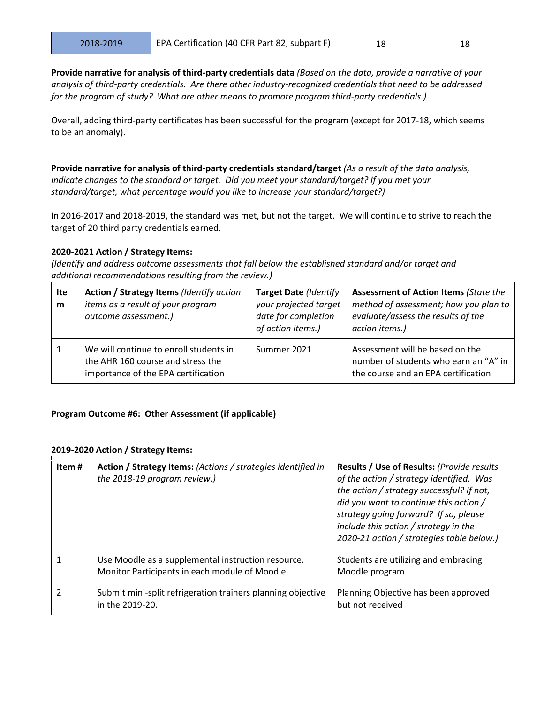**Provide narrative for analysis of third-party credentials data** *(Based on the data, provide a narrative of your analysis of third-party credentials. Are there other industry-recognized credentials that need to be addressed for the program of study? What are other means to promote program third-party credentials.)*

Overall, adding third-party certificates has been successful for the program (except for 2017-18, which seems to be an anomaly).

**Provide narrative for analysis of third-party credentials standard/target** *(As a result of the data analysis, indicate changes to the standard or target. Did you meet your standard/target? If you met your standard/target, what percentage would you like to increase your standard/target?)* 

In 2016-2017 and 2018-2019, the standard was met, but not the target. We will continue to strive to reach the target of 20 third party credentials earned.

## **2020-2021 Action / Strategy Items:**

*(Identify and address outcome assessments that fall below the established standard and/or target and additional recommendations resulting from the review.)*

| Ite<br>m | Action / Strategy Items (Identify action<br>items as a result of your program<br>outcome assessment.)              | Target Date (Identify<br>your projected target<br>date for completion<br>of action items.) | <b>Assessment of Action Items (State the</b><br>method of assessment; how you plan to<br>evaluate/assess the results of the<br>action items.) |
|----------|--------------------------------------------------------------------------------------------------------------------|--------------------------------------------------------------------------------------------|-----------------------------------------------------------------------------------------------------------------------------------------------|
| 1        | We will continue to enroll students in<br>the AHR 160 course and stress the<br>importance of the EPA certification | Summer 2021                                                                                | Assessment will be based on the<br>number of students who earn an "A" in<br>the course and an EPA certification                               |

## **Program Outcome #6: Other Assessment (if applicable)**

| Item# | Action / Strategy Items: (Actions / strategies identified in<br>the 2018-19 program review.)         | Results / Use of Results: (Provide results<br>of the action / strategy identified. Was<br>the action / strategy successful? If not,<br>did you want to continue this action /<br>strategy going forward? If so, please<br>include this action / strategy in the<br>2020-21 action / strategies table below.) |
|-------|------------------------------------------------------------------------------------------------------|--------------------------------------------------------------------------------------------------------------------------------------------------------------------------------------------------------------------------------------------------------------------------------------------------------------|
|       | Use Moodle as a supplemental instruction resource.<br>Monitor Participants in each module of Moodle. | Students are utilizing and embracing<br>Moodle program                                                                                                                                                                                                                                                       |
|       | Submit mini-split refrigeration trainers planning objective<br>in the 2019-20.                       | Planning Objective has been approved<br>but not received                                                                                                                                                                                                                                                     |